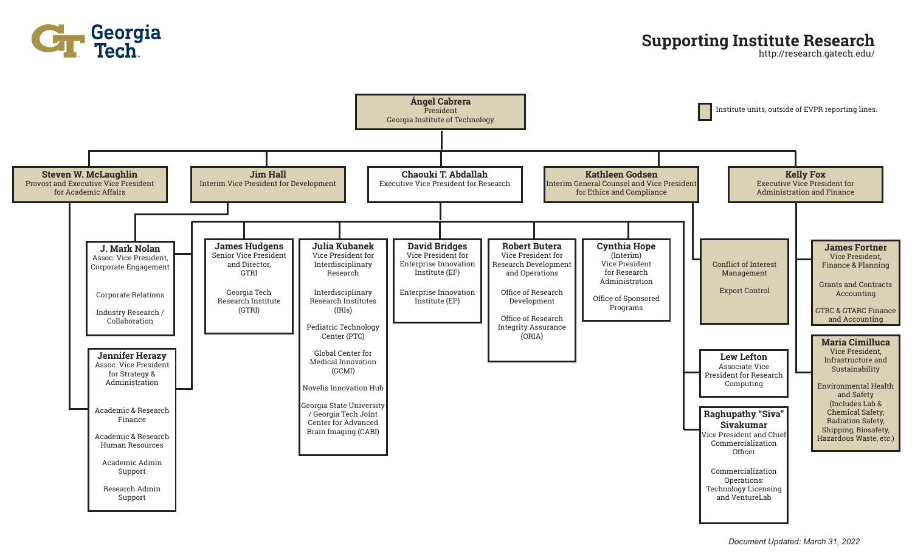

### **Supporting Institute Research**

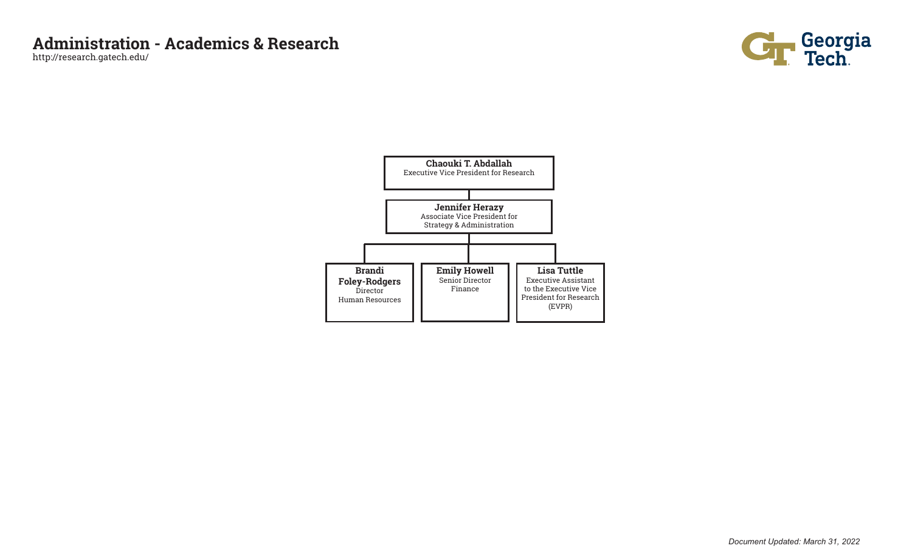

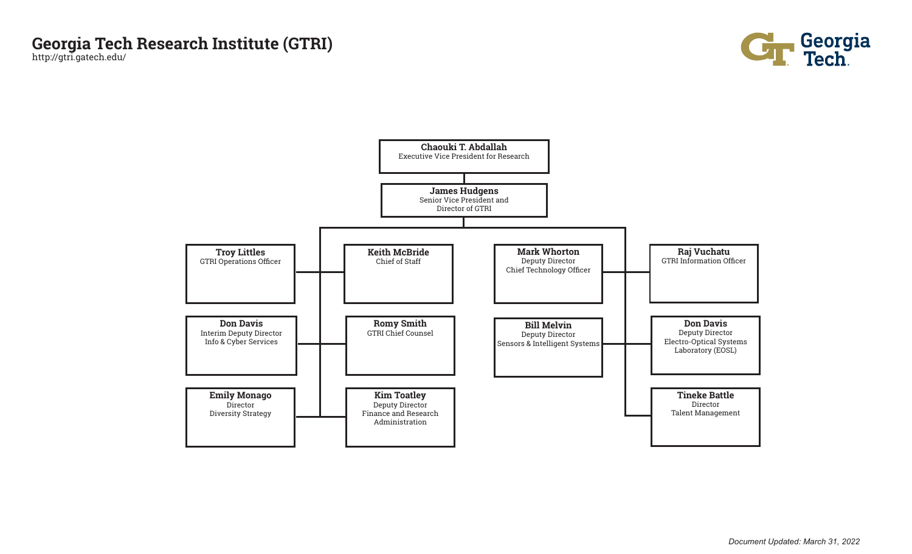# **Georgia Tech Research Institute (GTRI)**

http://gtri.gatech.edu/



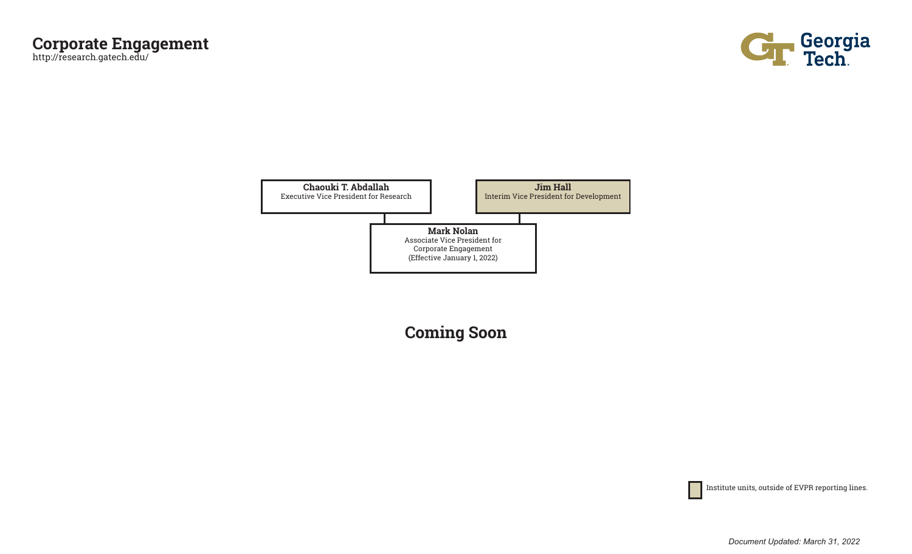



**Coming Soon**

Institute units, outside of EVPR reporting lines.

*Document Updated: March 31, 2022*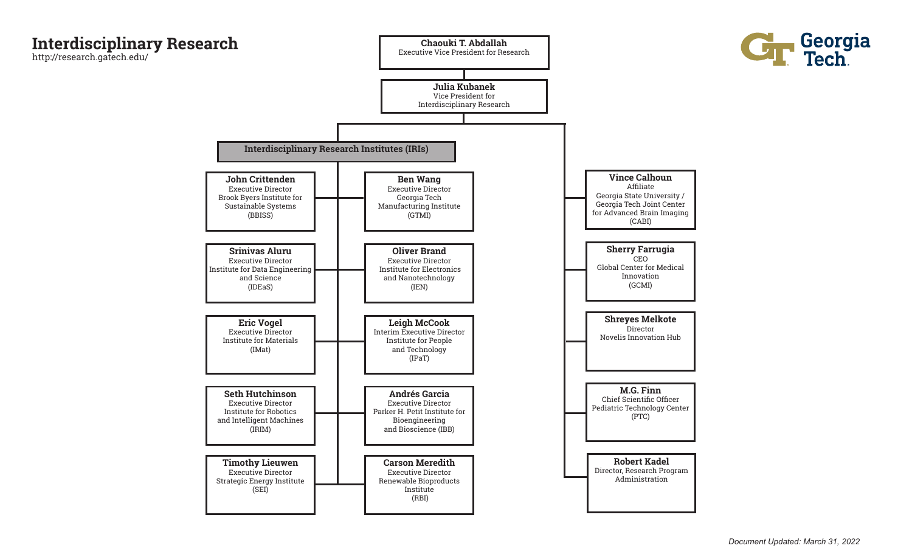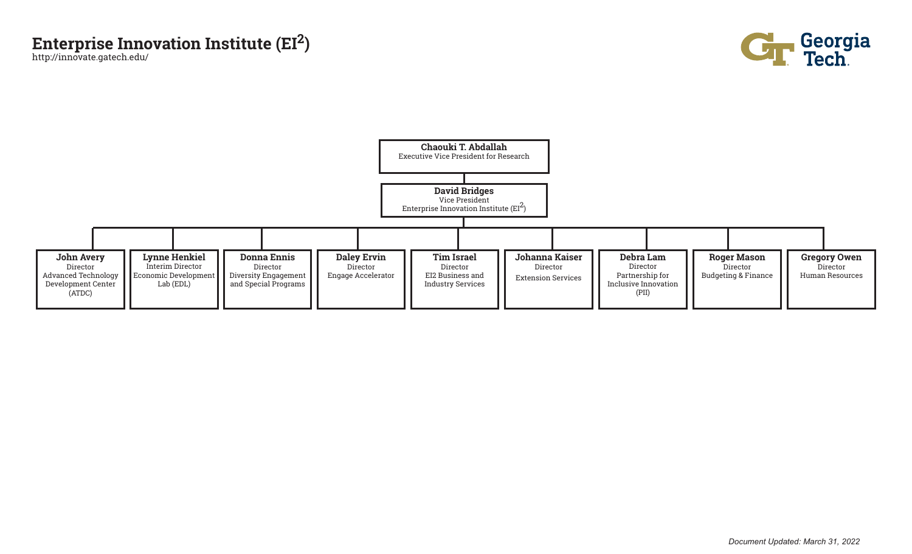## **Enterprise Innovation Institute (EI2)**

http://innovate.gatech.edu/



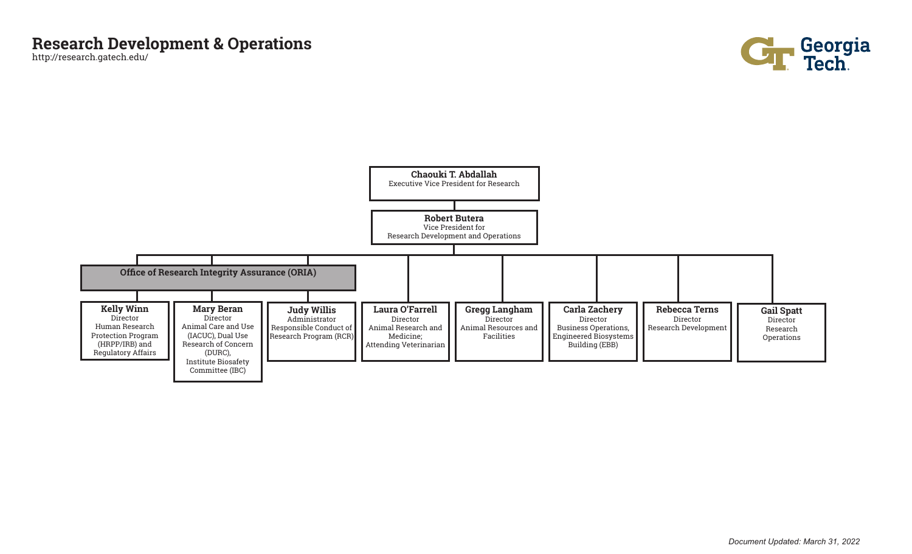

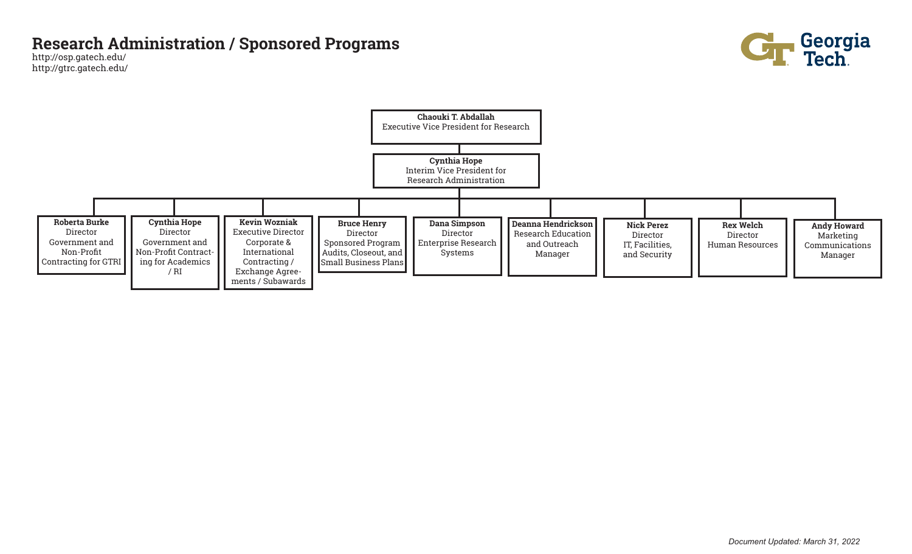#### **Research Administration / Sponsored Programs**

http://osp.gatech.edu/ http://gtrc.gatech.edu/



Georgia<br>Tech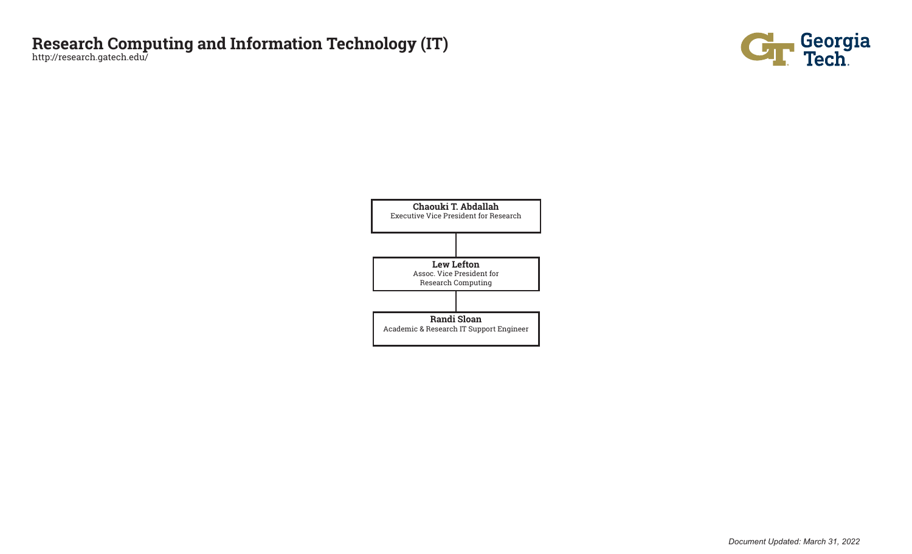### **Research Computing and Information Technology (IT)**